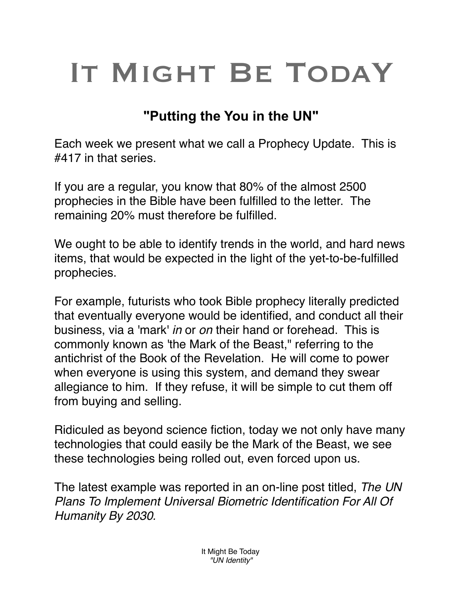## IT MIGHT BE TODAY

## **"Putting the You in the UN"**

Each week we present what we call a Prophecy Update. This is #417 in that series.

If you are a regular, you know that 80% of the almost 2500 prophecies in the Bible have been fulfilled to the letter. The remaining 20% must therefore be fulfilled.

We ought to be able to identify trends in the world, and hard news items, that would be expected in the light of the yet-to-be-fulfilled prophecies.

For example, futurists who took Bible prophecy literally predicted that eventually everyone would be identified, and conduct all their business, via a 'mark' *in* or *on* their hand or forehead. This is commonly known as 'the Mark of the Beast," referring to the antichrist of the Book of the Revelation. He will come to power when everyone is using this system, and demand they swear allegiance to him. If they refuse, it will be simple to cut them off from buying and selling.

Ridiculed as beyond science fiction, today we not only have many technologies that could easily be the Mark of the Beast, we see these technologies being rolled out, even forced upon us.

The latest example was reported in an on-line post titled, *The UN Plans To Implement Universal Biometric Identification For All Of Humanity By 2030.*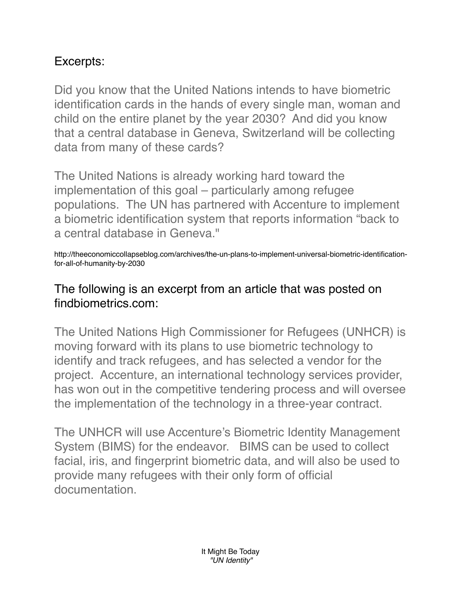## Excerpts:

Did you know that the United Nations intends to have biometric identification cards in the hands of every single man, woman and child on the entire planet by the year 2030? And did you know that a central database in Geneva, Switzerland will be collecting data from many of these cards?

The United Nations is already working hard toward the implementation of this goal – particularly among refugee populations. The UN has partnered with Accenture to implement a biometric identification system that reports information "back to a central database in Geneva."

http://theeconomiccollapseblog.com/archives/the-un-plans-to-implement-universal-biometric-identificationfor-all-of-humanity-by-2030

## The following is an excerpt from an article that was posted on findbiometrics.com:

The United Nations High Commissioner for Refugees (UNHCR) is moving forward with its plans to use biometric technology to identify and track refugees, and has selected a vendor for the project. Accenture, an international technology services provider, has won out in the competitive tendering process and will oversee the implementation of the technology in a three-year contract.

The UNHCR will use Accenture's Biometric Identity Management System (BIMS) for the endeavor. BIMS can be used to collect facial, iris, and fingerprint biometric data, and will also be used to provide many refugees with their only form of official documentation.